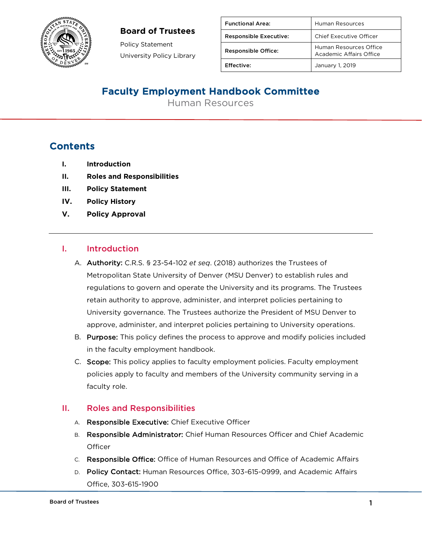

### **Board of Trustees**

Policy Statement University Policy Library

| <b>Functional Area:</b>       | Human Resources                                          |
|-------------------------------|----------------------------------------------------------|
| <b>Responsible Executive:</b> | <b>Chief Executive Officer</b>                           |
| <b>Responsible Office:</b>    | Human Resources Office<br><b>Academic Affairs Office</b> |
| <b>Effective:</b>             | January 1, 2019                                          |

## Faculty Employment Handbook Committee

Human Resources

## **Contents**

- **I. Introduction**
- **II. Roles and Responsibilities**
- **III. Policy Statement**
- **IV. Policy History**
- **V. Policy Approval**

#### I. Introduction

- A. Authority: C.R.S. § 23-54-102 *et seq*. (2018) authorizes the Trustees of Metropolitan State University of Denver (MSU Denver) to establish rules and regulations to govern and operate the University and its programs. The Trustees retain authority to approve, administer, and interpret policies pertaining to University governance. The Trustees authorize the President of MSU Denver to approve, administer, and interpret policies pertaining to University operations.
- B. Purpose: This policy defines the process to approve and modify policies included in the faculty employment handbook.
- C. Scope: This policy applies to faculty employment policies. Faculty employment policies apply to faculty and members of the University community serving in a faculty role.

#### II. Roles and Responsibilities

- A. Responsible Executive: Chief Executive Officer
- B. Responsible Administrator: Chief Human Resources Officer and Chief Academic **Officer**
- C. Responsible Office: Office of Human Resources and Office of Academic Affairs
- D. Policy Contact: Human Resources Office, 303-615-0999, and Academic Affairs Office, 303-615-1900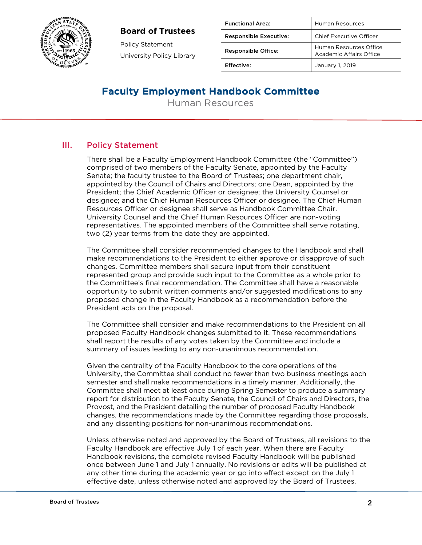### **Board of Trustees**



Policy Statement University Policy Library

| <b>Functional Area:</b>       | Human Resources                                   |
|-------------------------------|---------------------------------------------------|
| <b>Responsible Executive:</b> | Chief Executive Officer                           |
| <b>Responsible Office:</b>    | Human Resources Office<br>Academic Affairs Office |
| Effective:                    | January 1, 2019                                   |

## Faculty Employment Handbook Committee

Human Resources

## III. Policy Statement

There shall be a Faculty Employment Handbook Committee (the "Committee") comprised of two members of the Faculty Senate, appointed by the Faculty Senate; the faculty trustee to the Board of Trustees; one department chair, appointed by the Council of Chairs and Directors; one Dean, appointed by the President; the Chief Academic Officer or designee; the University Counsel or designee; and the Chief Human Resources Officer or designee. The Chief Human Resources Officer or designee shall serve as Handbook Committee Chair. University Counsel and the Chief Human Resources Officer are non-voting representatives. The appointed members of the Committee shall serve rotating, two (2) year terms from the date they are appointed.

The Committee shall consider recommended changes to the Handbook and shall make recommendations to the President to either approve or disapprove of such changes. Committee members shall secure input from their constituent represented group and provide such input to the Committee as a whole prior to the Committee's final recommendation. The Committee shall have a reasonable opportunity to submit written comments and/or suggested modifications to any proposed change in the Faculty Handbook as a recommendation before the President acts on the proposal.

The Committee shall consider and make recommendations to the President on all proposed Faculty Handbook changes submitted to it. These recommendations shall report the results of any votes taken by the Committee and include a summary of issues leading to any non-unanimous recommendation.

Given the centrality of the Faculty Handbook to the core operations of the University, the Committee shall conduct no fewer than two business meetings each semester and shall make recommendations in a timely manner. Additionally, the Committee shall meet at least once during Spring Semester to produce a summary report for distribution to the Faculty Senate, the Council of Chairs and Directors, the Provost, and the President detailing the number of proposed Faculty Handbook changes, the recommendations made by the Committee regarding those proposals, and any dissenting positions for non-unanimous recommendations.

Unless otherwise noted and approved by the Board of Trustees, all revisions to the Faculty Handbook are effective July 1 of each year. When there are Faculty Handbook revisions, the complete revised Faculty Handbook will be published once between June 1 and July 1 annually. No revisions or edits will be published at any other time during the academic year or go into effect except on the July 1 effective date, unless otherwise noted and approved by the Board of Trustees.